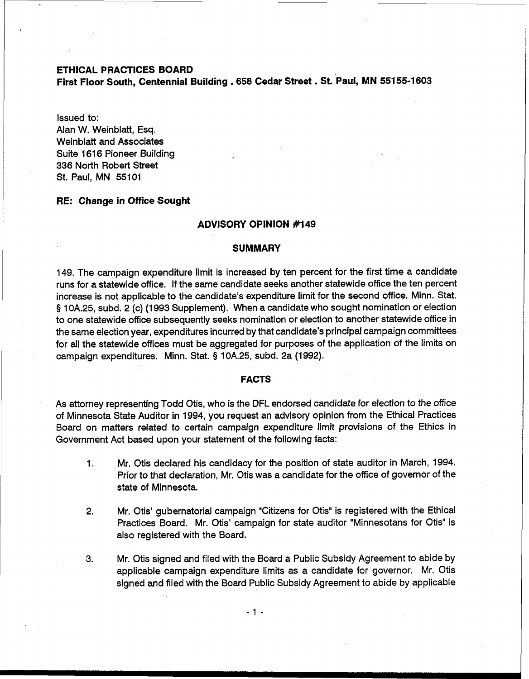### **ETHICAL PRACTICES BOARD**

**First Floor South, Centennial Building** . **658 Cedar Street** . **St. '~aul, MN 551 55-1603** 

Issued to:

Alan W. Weinblatt, Esq. Weinblatt and Associates Suite 1616 Pioneer Building 336 North Robert Street St. Paul, MN 55101

### **RE: Change in Office Sought**

#### **ADVISORY OPINION #I 49**

### **SUMMARY**

149. The campaign expenditure limit is increased by ten percent for the first time a candidate runs for a statewide office. If the same candidate seeks another statewide office the ten percent increase is not applicable to the candidate's expenditure limit for the second office. Minn. Stat. **5** 10A.25, subd. 2 (c) (1993 Supplement). When a candidate who sought nomination or election to one statewide office subsequently seeks nomination or election to another statewide office in the same election year, expenditures incurred by that candidate's principal campaign committees for all the statewide offices must be aggregated for purposes of the application of the limits on campaign expenditures. Minn. Stat. **5** 10A.25, subd. 2a (1992).

### **FACTS**

As attorney representing Todd Otis, who is the DFL endorsed candidate for election to the office of Minnesota State Auditor in 1994, you request an advisory opinion from the Ethical Practices Board on matters related to certain campaign expenditure limit provisions of the Ethics in Government Act based upon your statement of the following facts:

- 1. Mr. Otis declared his candidacy for the position of state auditor in March, 1994. Prior to that declaration, Mr. Otis was a candidate for the office of governor of the state of Minnesota.
- 2. Mr. Otis' gubernatorial campaign "Citizens for Otis" is registered with the Ethical Practices Board. Mr. Otis' campaign for state auditor "Minnesotans for Otis" is also registered with the Board.
- **3.** Mr. Otis signed and filed with the Board a Public Subsidy Agreement to abide by applicable campaign expenditure limits as a candidate for governor. Mr. Otis signed and filed with the Board Public Subsidy Agreement to abide by applicable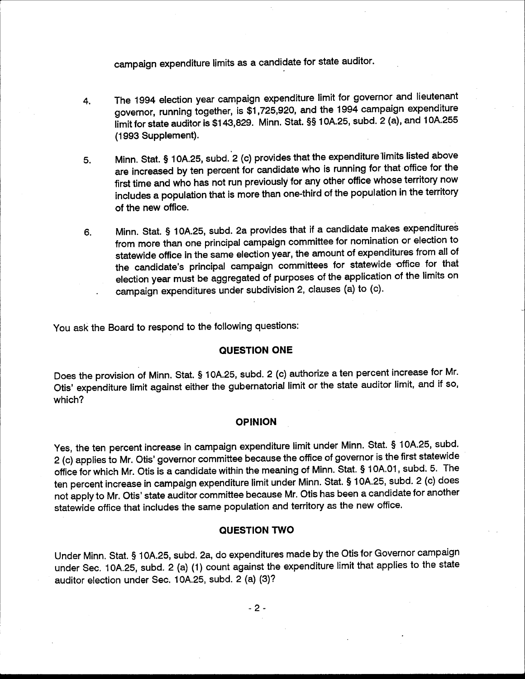campaign expenditure limits as a candidate for state auditor.

- The 1994 election year campaign expenditure limit for governor and lieutenant 4. governor, running together, is \$1,725,920, and the 1994 campaign expenditure limit for state auditor is \$143,829. Minn. Stat. §§ 10A.25, subd. 2 (a), and 10A.255 (1993 Supplement).
- Minn. Stat. § 10A.25, subd. 2 (c) provides that the expenditure limits listed above 5. are increased by ten percent for candidate who is running for that office for the first time and who has not run previously for any other office whose territory now includes a population that is more than one-third of the population in the territory of the new office.
- Minn. Stat. § 10A.25, subd. 2a provides that if a candidate makes expenditures 6. from more than one principal campaign committee for nomination or election to statewide office in the same election year, the amount of expenditures from all of the candidate's principal campaign committees for statewide office for that election year must be aggregated of purposes of the application of the limits on campaign expenditures under subdivision 2, clauses (a) to (c).

You ask the Board to respond to the following questions:

## QUESTION ONE

Does the provision of Minn. Stat. § 10A.25, subd. 2 (c) authorize a ten percent increase for Mr. Otis' expenditure limit against either the gubernatorial limit or the state auditor limit, and if so, which?

#### **OPINION**

Yes, the ten percent increase in campaign expenditure limit under Minn. Stat. § 10A.25, subd. 2 (c) applies to Mr. Otis' governor committee because the office of governor is the first statewide office for which Mr. Otis is a candidate within the meaning of Minn. Stat. § 10A.01, subd. 5. The ten percent increase in campaign expenditure limit under Minn. Stat. § 10A.25, subd. 2 (c) does not apply to Mr. Otis' state auditor committee because Mr. Otis has been a candidate for another statewide office that includes the same population and territory as the new office.

## **QUESTION TWO**

Under Minn. Stat. § 10A.25, subd. 2a, do expenditures made by the Otis for Governor campaign under Sec. 10A.25, subd. 2 (a) (1) count against the expenditure limit that applies to the state auditor election under Sec. 10A.25, subd. 2 (a) (3)?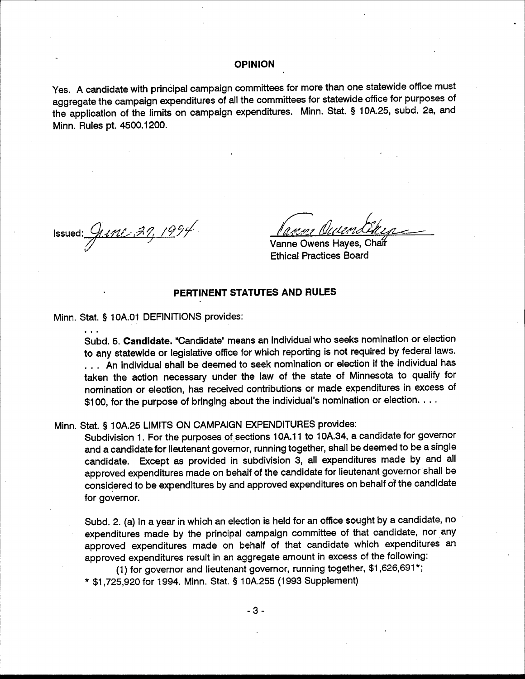### **OPINION**

Yes. A candidate with principal campaign committees for more than one statewide office must aggregate the campaign expenditures of all the committees for statewide office for purposes of the application of the limits on campaign expenditures. Minn. Stat. § 10A.25, subd. 2a, and Minn. Rules pt. 4500.1200.

Issued:  $9112.37, 1994$ 

 $\ddotsc$ 

Vanne Owens Haves, Chai **Ethical Practices Board** 

# PERTINENT STATUTES AND RULES

Minn. Stat. § 10A.01 DEFINITIONS provides:

Subd. 5. Candidate. "Candidate" means an individual who seeks nomination or election to any statewide or legislative office for which reporting is not required by federal laws. ... An individual shall be deemed to seek nomination or election if the individual has taken the action necessary under the law of the state of Minnesota to qualify for nomination or election, has received contributions or made expenditures in excess of \$100, for the purpose of bringing about the individual's nomination or election. . . .

Minn. Stat. § 10A.25 LIMITS ON CAMPAIGN EXPENDITURES provides:

Subdivision 1. For the purposes of sections 10A.11 to 10A.34, a candidate for governor and a candidate for lieutenant governor, running together, shall be deemed to be a single candidate. Except as provided in subdivision 3, all expenditures made by and all approved expenditures made on behalf of the candidate for lieutenant governor shall be considered to be expenditures by and approved expenditures on behalf of the candidate for governor.

Subd. 2. (a) In a year in which an election is held for an office sought by a candidate, no expenditures made by the principal campaign committee of that candidate, nor any approved expenditures made on behalf of that candidate which expenditures an approved expenditures result in an aggregate amount in excess of the following:

(1) for governor and lieutenant governor, running together, \$1,626,691\*;

\* \$1,725,920 for 1994. Minn. Stat. § 10A.255 (1993 Supplement)